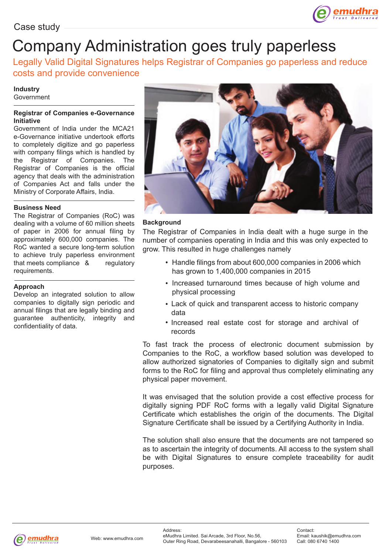

# Company Administration goes truly paperless

Legally Valid Digital Signatures helps Registrar of Companies go paperless and reduce costs and provide convenience

#### **Industry** Government

### **Registrar of Companies e-Governance Initiative**

Government of India under the MCA21 e-Governance initiative undertook efforts to completely digitize and go paperless with company filings which is handled by the Registrar of Companies. The Registrar of Companies is the official agency that deals with the administration of Companies Act and falls under the Ministry of Corporate Affairs, India.

# **Business Need**

The Registrar of Companies (RoC) was dealing with a volume of 60 million sheets of paper in 2006 for annual filing by approximately 600,000 companies. The RoC wanted a secure long-term solution to achieve truly paperless environment that meets compliance & regulatory requirements.

# **Approach**

Develop an integrated solution to allow companies to digitally sign periodic and annual filings that are legally binding and guarantee authenticity, integrity and confidentiality of data.



# **Background**

The Registrar of Companies in India dealt with a huge surge in the number of companies operating in India and this was only expected to grow. This resulted in huge challenges namely

- Handle filings from about 600,000 companies in 2006 which has grown to 1,400,000 companies in 2015
- Increased turnaround times because of high volume and physical processing
- Lack of quick and transparent access to historic company data
- Increased real estate cost for storage and archival of records

To fast track the process of electronic document submission by Companies to the RoC, a workflow based solution was developed to allow authorized signatories of Companies to digitally sign and submit forms to the RoC for filing and approval thus completely eliminating any physical paper movement.

It was envisaged that the solution provide a cost effective process for digitally signing PDF RoC forms with a legally valid Digital Signature Certificate which establishes the origin of the documents. The Digital Signature Certificate shall be issued by a Certifying Authority in India.

The solution shall also ensure that the documents are not tampered so as to ascertain the integrity of documents. All access to the system shall be with Digital Signatures to ensure complete traceability for audit purposes.

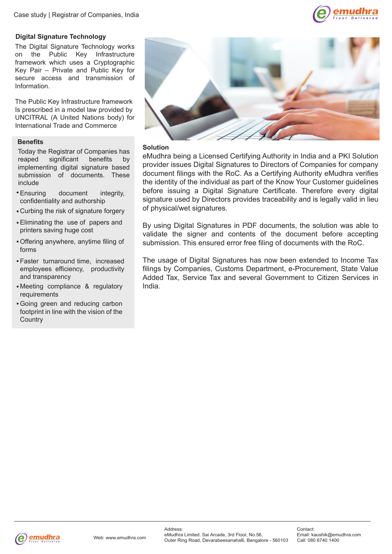

# **Digital Signature Technology**

The Digital Signature Technology works on the Public Key Infrastructure framework which uses a Cryptographic Key Pair – Private and Public Key for secure access and transmission of Information.

The Public Key Infrastructure framework Is prescribed in a model law provided by UNCITRAL (A United Nations body) for International Trade and Commerce

# **Benefits**

**Solution**<br>Today the Registrar of Companies has **Solution**<br>reaped significant benefits by eMudhra reaped significant benefits implementing digital signature based submission of documents. These include

- Ensuring document integrity, confidentiality and authorship
- Curbing the risk of signature forgery
- Eliminating the use of papers and printers saving huge cost
- Offering anywhere, anytime filing of forms
- Faster turnaround time, increased employees efficiency, productivity and transparency
- Meeting compliance & regulatory requirements
- Going green and reducing carbon footprint in line with the vision of the **Country**



eMudhra being a Licensed Certifying Authority in India and a PKI Solution provider issues Digital Signatures to Directors of Companies for company document filings with the RoC. As a Certifying Authority eMudhra verifies the identity of the individual as part of the Know Your Customer guidelines before issuing a Digital Signature Certificate. Therefore every digital signature used by Directors provides traceability and is legally valid in lieu of physical/wet signatures.

By using Digital Signatures in PDF documents, the solution was able to validate the signer and contents of the document before accepting submission. This ensured error free filing of documents with the RoC.

The usage of Digital Signatures has now been extended to Income Tax filings by Companies, Customs Department, e-Procurement, State Value Added Tax, Service Tax and several Government to Citizen Services in India.